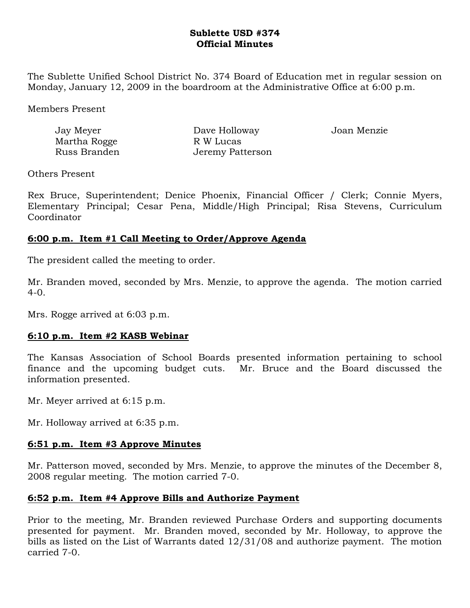## **Sublette USD #374 Official Minutes**

The Sublette Unified School District No. 374 Board of Education met in regular session on Monday, January 12, 2009 in the boardroom at the Administrative Office at 6:00 p.m.

Members Present

| Jay Meyer    | Dave Holloway    | Joan Menzie |
|--------------|------------------|-------------|
| Martha Rogge | R W Lucas        |             |
| Russ Branden | Jeremy Patterson |             |

Others Present

Rex Bruce, Superintendent; Denice Phoenix, Financial Officer / Clerk; Connie Myers, Elementary Principal; Cesar Pena, Middle/High Principal; Risa Stevens, Curriculum Coordinator

# **6:00 p.m. Item #1 Call Meeting to Order/Approve Agenda**

The president called the meeting to order.

Mr. Branden moved, seconded by Mrs. Menzie, to approve the agenda. The motion carried  $4-0.$ 

Mrs. Rogge arrived at 6:03 p.m.

## **6:10 p.m. Item #2 KASB Webinar**

The Kansas Association of School Boards presented information pertaining to school finance and the upcoming budget cuts. Mr. Bruce and the Board discussed the information presented.

Mr. Meyer arrived at 6:15 p.m.

Mr. Holloway arrived at 6:35 p.m.

## **6:51 p.m. Item #3 Approve Minutes**

Mr. Patterson moved, seconded by Mrs. Menzie, to approve the minutes of the December 8, 2008 regular meeting. The motion carried 7-0.

## **6:52 p.m. Item #4 Approve Bills and Authorize Payment**

Prior to the meeting, Mr. Branden reviewed Purchase Orders and supporting documents presented for payment. Mr. Branden moved, seconded by Mr. Holloway, to approve the bills as listed on the List of Warrants dated 12/31/08 and authorize payment. The motion carried 7-0.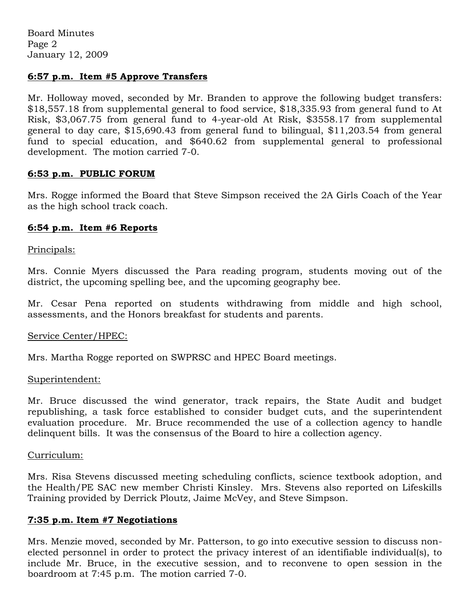### **6:57 p.m. Item #5 Approve Transfers**

Mr. Holloway moved, seconded by Mr. Branden to approve the following budget transfers: \$18,557.18 from supplemental general to food service, \$18,335.93 from general fund to At Risk, \$3,067.75 from general fund to 4-year-old At Risk, \$3558.17 from supplemental general to day care, \$15,690.43 from general fund to bilingual, \$11,203.54 from general fund to special education, and \$640.62 from supplemental general to professional development. The motion carried 7-0.

### **6:53 p.m. PUBLIC FORUM**

Mrs. Rogge informed the Board that Steve Simpson received the 2A Girls Coach of the Year as the high school track coach.

### **6:54 p.m. Item #6 Reports**

Principals:

Mrs. Connie Myers discussed the Para reading program, students moving out of the district, the upcoming spelling bee, and the upcoming geography bee.

Mr. Cesar Pena reported on students withdrawing from middle and high school, assessments, and the Honors breakfast for students and parents.

### Service Center/HPEC:

Mrs. Martha Rogge reported on SWPRSC and HPEC Board meetings.

#### Superintendent:

Mr. Bruce discussed the wind generator, track repairs, the State Audit and budget republishing, a task force established to consider budget cuts, and the superintendent evaluation procedure. Mr. Bruce recommended the use of a collection agency to handle delinquent bills. It was the consensus of the Board to hire a collection agency.

#### Curriculum:

Mrs. Risa Stevens discussed meeting scheduling conflicts, science textbook adoption, and the Health/PE SAC new member Christi Kinsley. Mrs. Stevens also reported on Lifeskills Training provided by Derrick Ploutz, Jaime McVey, and Steve Simpson.

### **7:35 p.m. Item #7 Negotiations**

Mrs. Menzie moved, seconded by Mr. Patterson, to go into executive session to discuss nonelected personnel in order to protect the privacy interest of an identifiable individual(s), to include Mr. Bruce, in the executive session, and to reconvene to open session in the boardroom at 7:45 p.m. The motion carried 7-0.